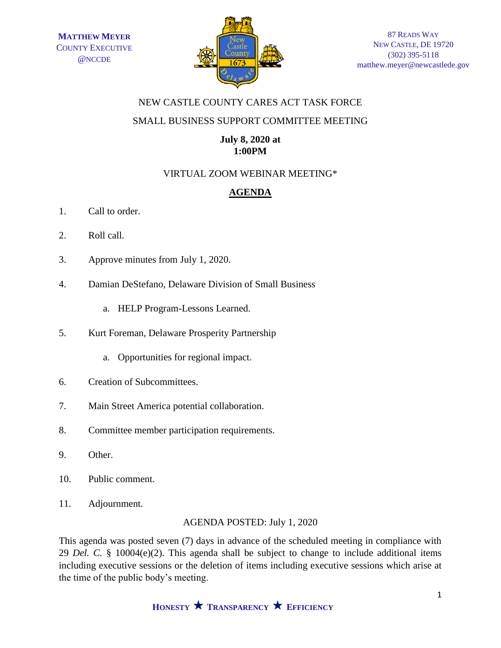

# NEW CASTLE COUNTY CARES ACT TASK FORCE

# SMALL BUSINESS SUPPORT COMMITTEE MEETING

# **July 8, 2020 at 1:00PM**

# VIRTUAL ZOOM WEBINAR MEETING\*

# **AGENDA**

- 1. Call to order.
- 2. Roll call.
- 3. Approve minutes from July 1, 2020.
- 4. Damian DeStefano, Delaware Division of Small Business
	- a. HELP Program-Lessons Learned.
- 5. Kurt Foreman, Delaware Prosperity Partnership
	- a. Opportunities for regional impact.
- 6. Creation of Subcommittees.
- 7. Main Street America potential collaboration.
- 8. Committee member participation requirements.
- 9. Other.
- 10. Public comment.
- 11. Adjournment.

#### AGENDA POSTED: July 1, 2020

This agenda was posted seven (7) days in advance of the scheduled meeting in compliance with 29 *Del. C.* § 10004(e)(2). This agenda shall be subject to change to include additional items including executive sessions or the deletion of items including executive sessions which arise at the time of the public body's meeting.

**HONESTY TRANSPARENCY EFFICIENCY**